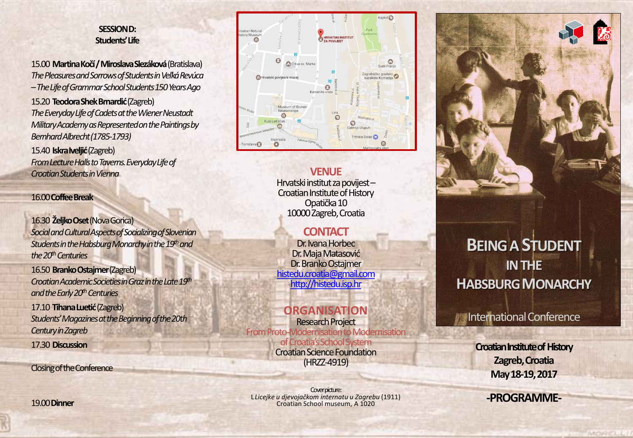## **SESSION D: Students' Life**

15.00 **Martina Kočí / Miroslava Slezáková**(Bratislava) *The Pleasures and Sorrows of Students in Veľká Revúca –The Life of Grammar School Students 150 Years Ago* 15.20 **Teodora Shek Brnardić**(Zagreb) *The Everyday Life of Cadets at the Wiener Neustadt* 

*Military Academy as Represented on the Paintings by Bernhard Albrecht (1785-1793)* 

15.40 **Iskra Iveljić**(Zagreb) *From Lecture Halls to Taverns. Everyday Life of Croatian Students in Vienna*

#### 16.00**Coffee Break**

16.30 **Željko Oset**(Nova Gorica) *Social and Cultural Aspects of Socializing of Slovenian Students in the Habsburg Monarchy in the 19thand the 20thCenturies* 

16.50 **Branko Ostajmer**(Zagreb) *Croatian Academic Societies in Graz in the Late 19th and the Early 20thCenturies*

17.10 **Tihana Luetić**(Zagreb) *Students' Magazines at the Beginning of the 20th Century in Zagreb* 17.30 **Discussion**

Closing of the Conference



### **VENUE**

Hrvatski institut za povijest – Croatian Institute of History Opatička 10 10000 Zagreb, Croatia

# **CONTACT**

Dr. Ivana Horbec Dr. Maja Matasović Dr. Branko Ostajmer [histedu.croatia@gmail.com](mailto:histedu.croatia@gmail.com) [http://histedu.isp.hr](http://histedu.isp.hr/)

# **ORGANISATION**

Research Project From Proto-Modernisation to Modernisation of Croatia's School System Croatian Science Foundation (HRZZ-4919)

Cover picture: L *Licejke u djevojačkom internatu u Zagrebu* (1911) Croatian School museum, A 1020



# **BEING A STUDENT IN THE HABSBURG MONARCHY**

# International Conference

**Croatian Institute of History Zagreb, Croatia May 18-19, 2017**

**-PROGRAMME-**

19.00 **Dinner**